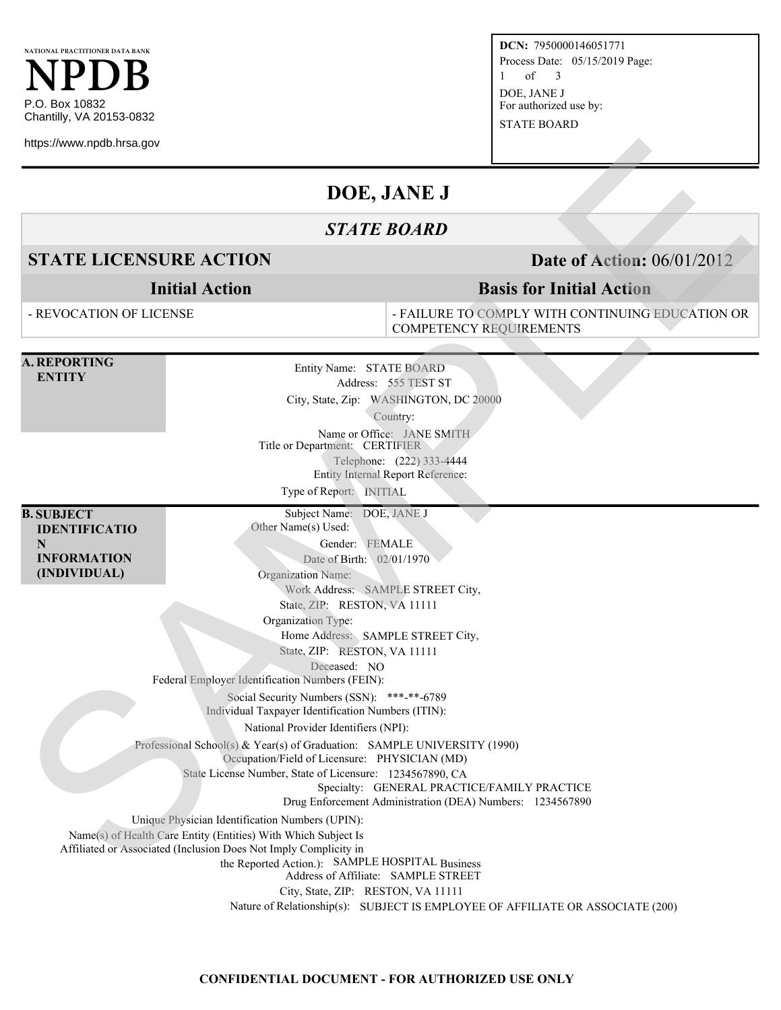**NATIONAL PRACTITIONER DATA BANK NPDB** P.O. Box 10832 Chantilly, VA 20153-0832

https://www.npdb.hrsa.gov

**DCN:** 7950000146051771 Process Date: 05/15/2019 Page: 1 of 3 DOE, JANE J For authorized use by: STATE BOARD

# **DOE, JANE J**

## *STATE BOARD*

## **STATE LICENSURE ACTION Date of Action:** 06/01/2012

**Initial Action**

#### - REVOCATION OF LICENSE

- FAILURE TO COMPLY WITH CONTINUING EDUCATION OR COMPETENCY REQUIREMENTS

**Basis for Initial Action**

**A. REPORTING ENTITY**

Entity Name: STATE BOARD Address: 555 TEST ST City, State, Zip: WASHINGTON, DC 20000 **STATE LICENSURE ACTION**<br>
STATE ILOCENSURE ACTION<br>
STATE ILOCENSURE ACTION<br>
Initial Action<br>
-REVOCATION Initial Action<br>
-REVOCATION IN THE TOTOMEY REGULATION OF THE SPACE OF THE TREE INTO CONFIDENT ACTION<br>
-REVOCATION OF

Country:

Name or Office: JANE SMITH Title or Department: CERTIFIER

Telephone: (222) 333-4444

Entity Internal Report Reference:

Type of Report: INITIAL

**B. SUBJECT IDENTIFICATIO N INFORMATION (INDIVIDUAL)**

Subject Name: DOE, JANE J Other Name(s) Used:

Gender: FEMALE Date of Birth: 02/01/1970

Organization Name:

Work Address: SAMPLE STREET City,

State, ZIP: RESTON, VA 11111 Organization Type:

Home Address: SAMPLE STREET City,

State, ZIP: RESTON, VA 11111

Deceased: NO

Federal Employer Identification Numbers (FEIN):

Social Security Numbers (SSN): \*\*\*-\*\*-6789 Individual Taxpayer Identification Numbers (ITIN):

National Provider Identifiers (NPI):

Professional School(s) & Year(s) of Graduation: SAMPLE UNIVERSITY (1990)

Occupation/Field of Licensure: PHYSICIAN (MD)

State License Number, State of Licensure: 1234567890, CA

Specialty: GENERAL PRACTICE/FAMILY PRACTICE

Drug Enforcement Administration (DEA) Numbers: 1234567890

Unique Physician Identification Numbers (UPIN):

Name(s) of Health Care Entity (Entities) With Which Subject Is

Affiliated or Associated (Inclusion Does Not Imply Complicity in

the Reported Action.): SAMPLE HOSPITAL Business

Address of Affiliate: SAMPLE STREET

City, State, ZIP: RESTON, VA 11111

Nature of Relationship(s): SUBJECT IS EMPLOYEE OF AFFILIATE OR ASSOCIATE (200)

#### **CONFIDENTIAL DOCUMENT - FOR AUTHORIZED USE ONLY**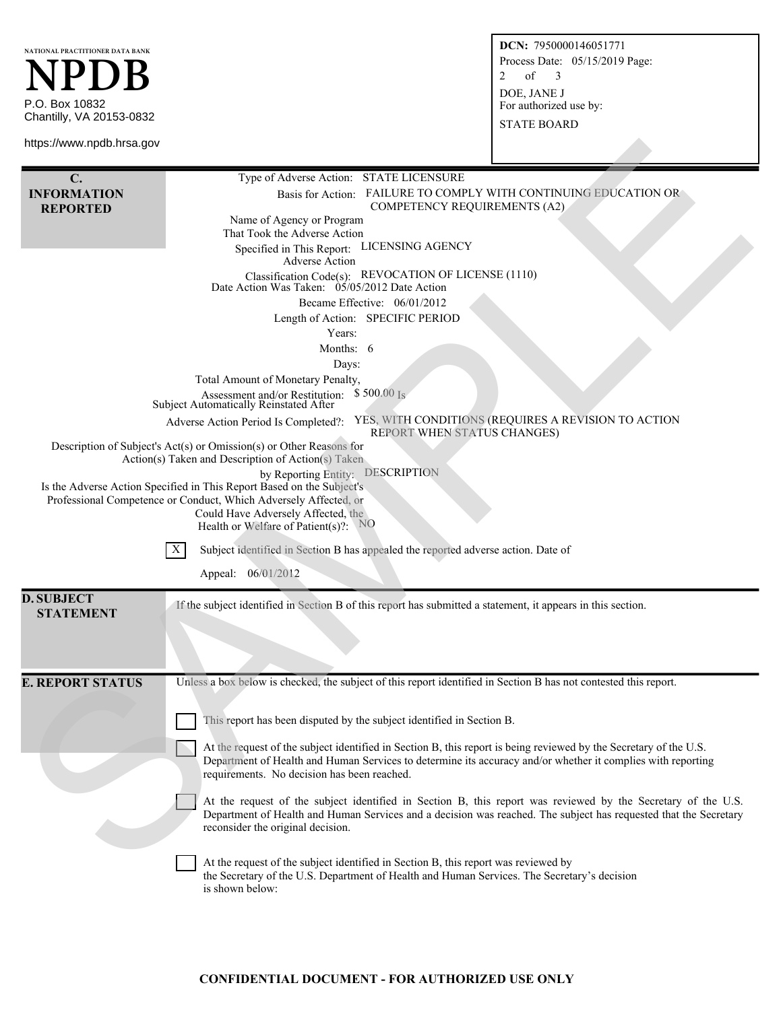| NATIONAL PRACTITIONER DATA BANK<br>NPDB<br>P.O. Box 10832<br>Chantilly, VA 20153-0832<br>https://www.npdb.hrsa.gov |                                                                                                                                                                                                                                                                                                                                                                                                                                                                                                                                                                                                                                                                                                                                                                                                                                                                                                                                                                                                                                                                                                                                                                                                | DCN: 7950000146051771<br>Process Date: 05/15/2019 Page:<br>of<br>2<br>3<br>DOE, JANE J<br>For authorized use by:<br><b>STATE BOARD</b> |
|--------------------------------------------------------------------------------------------------------------------|------------------------------------------------------------------------------------------------------------------------------------------------------------------------------------------------------------------------------------------------------------------------------------------------------------------------------------------------------------------------------------------------------------------------------------------------------------------------------------------------------------------------------------------------------------------------------------------------------------------------------------------------------------------------------------------------------------------------------------------------------------------------------------------------------------------------------------------------------------------------------------------------------------------------------------------------------------------------------------------------------------------------------------------------------------------------------------------------------------------------------------------------------------------------------------------------|----------------------------------------------------------------------------------------------------------------------------------------|
|                                                                                                                    |                                                                                                                                                                                                                                                                                                                                                                                                                                                                                                                                                                                                                                                                                                                                                                                                                                                                                                                                                                                                                                                                                                                                                                                                |                                                                                                                                        |
| $\mathbf{C}$ .<br><b>INFORMATION</b><br><b>REPORTED</b>                                                            | Type of Adverse Action: STATE LICENSURE<br>FAILURE TO COMPLY WITH CONTINUING EDUCATION OR<br>Basis for Action:<br><b>COMPETENCY REQUIREMENTS (A2)</b><br>Name of Agency or Program<br>That Took the Adverse Action<br>LICENSING AGENCY<br>Specified in This Report:<br><b>Adverse Action</b><br>Classification Code(s): REVOCATION OF LICENSE (1110)<br>Date Action Was Taken: $\frac{\delta 5}{05}{2012}$ Date Action<br>Became Effective: 06/01/2012<br>Length of Action: SPECIFIC PERIOD<br>Years:<br>Months: 6<br>Days:<br>Total Amount of Monetary Penalty,<br>Assessment and/or Restitution: \$500.00 Is<br>Subject Automatically Reinstated After<br>YES, WITH CONDITIONS (REQUIRES A REVISION TO ACTION<br>Adverse Action Period Is Completed?:<br>REPORT WHEN STATUS CHANGES)<br>Description of Subject's Act(s) or Omission(s) or Other Reasons for<br>Action(s) Taken and Description of Action(s) Taken<br><b>DESCRIPTION</b><br>by Reporting Entity:<br>Is the Adverse Action Specified in This Report Based on the Subject's<br>Professional Competence or Conduct, Which Adversely Affected, or<br>Could Have Adversely Affected, the<br>Health or Welfare of Patient(s)?: $NQ$ |                                                                                                                                        |
|                                                                                                                    | X<br>Subject identified in Section B has appealed the reported adverse action. Date of<br>Appeal: 06/01/2012                                                                                                                                                                                                                                                                                                                                                                                                                                                                                                                                                                                                                                                                                                                                                                                                                                                                                                                                                                                                                                                                                   |                                                                                                                                        |
| <b>D. SUBJECT</b><br><b>STATEMENT</b>                                                                              | If the subject identified in Section B of this report has submitted a statement, it appears in this section.                                                                                                                                                                                                                                                                                                                                                                                                                                                                                                                                                                                                                                                                                                                                                                                                                                                                                                                                                                                                                                                                                   |                                                                                                                                        |
| <b>E. REPORT STATUS</b>                                                                                            | Unless a box below is checked, the subject of this report identified in Section B has not contested this report.<br>This report has been disputed by the subject identified in Section B.<br>At the request of the subject identified in Section B, this report is being reviewed by the Secretary of the U.S.<br>Department of Health and Human Services to determine its accuracy and/or whether it complies with reporting<br>requirements. No decision has been reached.<br>At the request of the subject identified in Section B, this report was reviewed by the Secretary of the U.S.<br>Department of Health and Human Services and a decision was reached. The subject has requested that the Secretary<br>reconsider the original decision.<br>At the request of the subject identified in Section B, this report was reviewed by<br>the Secretary of the U.S. Department of Health and Human Services. The Secretary's decision<br>is shown below:                                                                                                                                                                                                                                  |                                                                                                                                        |